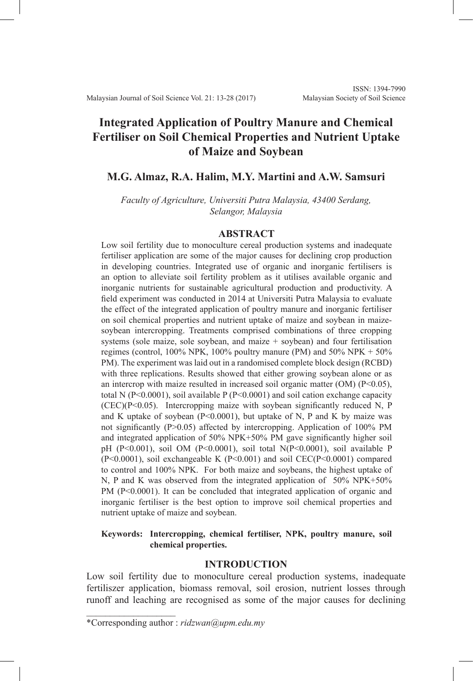# **Integrated Application of Poultry Manure and Chemical Fertiliser on Soil Chemical Properties and Nutrient Uptake of Maize and Soybean**

# **M.G. Almaz, R.A. Halim, M.Y. Martini and A.W. Samsuri**

*Faculty of Agriculture, Universiti Putra Malaysia, 43400 Serdang, Selangor, Malaysia*

#### **ABSTRACT**

Low soil fertility due to monoculture cereal production systems and inadequate fertiliser application are some of the major causes for declining crop production in developing countries. Integrated use of organic and inorganic fertilisers is an option to alleviate soil fertility problem as it utilises available organic and inorganic nutrients for sustainable agricultural production and productivity. A field experiment was conducted in 2014 at Universiti Putra Malaysia to evaluate the effect of the integrated application of poultry manure and inorganic fertiliser on soil chemical properties and nutrient uptake of maize and soybean in maizesoybean intercropping. Treatments comprised combinations of three cropping systems (sole maize, sole soybean, and maize + soybean) and four fertilisation regimes (control,  $100\%$  NPK,  $100\%$  poultry manure (PM) and  $50\%$  NPK +  $50\%$ PM). The experiment was laid out in a randomised complete block design (RCBD) with three replications. Results showed that either growing soybean alone or as an intercrop with maize resulted in increased soil organic matter (OM) (P<0.05), total N (P<0.0001), soil available P (P<0.0001) and soil cation exchange capacity  $(CEC)(P<0.05)$ . Intercropping maize with soybean significantly reduced N, P and K uptake of soybean  $(P<0.0001)$ , but uptake of N, P and K by maize was not significantly (P>0.05) affected by intercropping. Application of 100% PM and integrated application of 50% NPK+50% PM gave significantly higher soil pH (P<0.001), soil OM (P<0.0001), soil total N(P<0.0001), soil available P (P<0.0001), soil exchangeable K (P<0.001) and soil CEC(P<0.0001) compared to control and 100% NPK. For both maize and soybeans, the highest uptake of N, P and K was observed from the integrated application of 50% NPK+50% PM (P<0.0001). It can be concluded that integrated application of organic and inorganic fertiliser is the best option to improve soil chemical properties and nutrient uptake of maize and soybean.

# **Keywords: Intercropping, chemical fertiliser, NPK, poultry manure, soil chemical properties.**

# **INTRODUCTION**

Low soil fertility due to monoculture cereal production systems, inadequate fertiliszer application, biomass removal, soil erosion, nutrient losses through runoff and leaching are recognised as some of the major causes for declining

 $\mathcal{L}$  , and the set of the set of the set of the set of the set of the set of the set of the set of the set of the set of the set of the set of the set of the set of the set of the set of the set of the set of the set

<sup>\*</sup>Corresponding author : *ridzwan@upm.edu.my*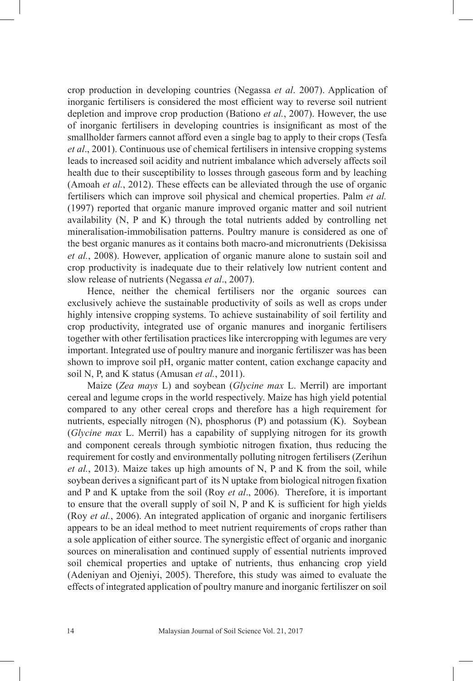crop production in developing countries (Negassa *et al*. 2007). Application of inorganic fertilisers is considered the most efficient way to reverse soil nutrient depletion and improve crop production (Bationo *et al.*, 2007). However, the use of inorganic fertilisers in developing countries is insignificant as most of the smallholder farmers cannot afford even a single bag to apply to their crops (Tesfa *et al*., 2001). Continuous use of chemical fertilisers in intensive cropping systems leads to increased soil acidity and nutrient imbalance which adversely affects soil health due to their susceptibility to losses through gaseous form and by leaching (Amoah *et al.*, 2012). These effects can be alleviated through the use of organic fertilisers which can improve soil physical and chemical properties. Palm *et al.*  (1997) reported that organic manure improved organic matter and soil nutrient availability (N, P and K) through the total nutrients added by controlling net mineralisation-immobilisation patterns. Poultry manure is considered as one of the best organic manures as it contains both macro-and micronutrients (Dekisissa *et al.*, 2008). However, application of organic manure alone to sustain soil and crop productivity is inadequate due to their relatively low nutrient content and slow release of nutrients (Negassa *et al*., 2007).

Hence, neither the chemical fertilisers nor the organic sources can exclusively achieve the sustainable productivity of soils as well as crops under highly intensive cropping systems. To achieve sustainability of soil fertility and crop productivity, integrated use of organic manures and inorganic fertilisers together with other fertilisation practices like intercropping with legumes are very important. Integrated use of poultry manure and inorganic fertiliszer was has been shown to improve soil pH, organic matter content, cation exchange capacity and soil N, P, and K status (Amusan *et al.*, 2011).

Maize (*Zea mays* L) and soybean (*Glycine max* L. Merril) are important cereal and legume crops in the world respectively. Maize has high yield potential compared to any other cereal crops and therefore has a high requirement for nutrients, especially nitrogen (N), phosphorus (P) and potassium (K). Soybean (*Glycine max* L. Merril) has a capability of supplying nitrogen for its growth and component cereals through symbiotic nitrogen fixation, thus reducing the requirement for costly and environmentally polluting nitrogen fertilisers (Zerihun *et al.*, 2013). Maize takes up high amounts of N, P and K from the soil, while soybean derives a significant part of its N uptake from biological nitrogen fixation and P and K uptake from the soil (Roy *et al*., 2006). Therefore, it is important to ensure that the overall supply of soil N, P and K is sufficient for high yields (Roy *et al.*, 2006). An integrated application of organic and inorganic fertilisers appears to be an ideal method to meet nutrient requirements of crops rather than a sole application of either source. The synergistic effect of organic and inorganic sources on mineralisation and continued supply of essential nutrients improved soil chemical properties and uptake of nutrients, thus enhancing crop yield (Adeniyan and Ojeniyi, 2005). Therefore, this study was aimed to evaluate the effects of integrated application of poultry manure and inorganic fertiliszer on soil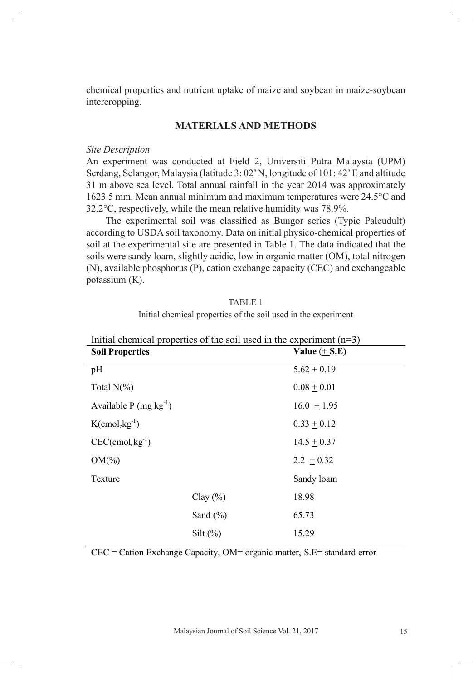chemical properties and nutrient uptake of maize and soybean in maize-soybean intercropping. soybean/maize mixture at Bako, Western Ethiopia. *African Journal of Agricultural* 

#### **MATERIALS AND METHODS** *Research .* **8(29):** 3921-3929

#### *Site Description*

An experiment was conducted at Field 2, Universiti Putra Malaysia (UPM) Serdang, Selangor, Malaysia (latitude 3: 02' N, longitude of 101: 42' E and altitude  $31 \text{ m}$  above sea level. Total annual rainfall in the year  $2014$  was approximately 1623.5 mm. Mean annual minimum and maximum temperatures were 24.5°C and  $32.2^{\circ}$ C, respectively, while the mean relative humidity was 78.9%.

The experimental soil was classified as Bungor series (Typic Paleudult) according to USDA soil taxonomy. Data on initial physico-chemical properties of soil at the experimental site are presented in Table 1. The data indicated that the soils were sandy loam, slightly acidic, low in organic matter (OM), total nitrogen (N), available phosphorus (P), cation exchange capacity (CEC) and exchangeable potassium (K).

| Initial chemical properties of the soil used in the experiment         |              |                 |  |  |  |  |  |  |
|------------------------------------------------------------------------|--------------|-----------------|--|--|--|--|--|--|
| Initial chemical properties of the soil used in the experiment $(n=3)$ |              |                 |  |  |  |  |  |  |
| <b>Soil Properties</b>                                                 |              | Value $(+ S.E)$ |  |  |  |  |  |  |
| pH                                                                     |              | $5.62 + 0.19$   |  |  |  |  |  |  |
| Total $N(\%)$                                                          |              | $0.08 \pm 0.01$ |  |  |  |  |  |  |
| Available P (mg $kg^{-1}$ )                                            |              | $16.0 \pm 1.95$ |  |  |  |  |  |  |
| $K$ (cmol <sub>c</sub> kg <sup>-1</sup> )                              |              | $0.33 \pm 0.12$ |  |  |  |  |  |  |
| $CEC$ (cmol <sub>c</sub> kg <sup>-1</sup> )                            |              | $14.5 \pm 0.37$ |  |  |  |  |  |  |
| $OM(\% )$                                                              |              | $2.2 + 0.32$    |  |  |  |  |  |  |
| Texture                                                                |              | Sandy loam      |  |  |  |  |  |  |
|                                                                        | Clay $(\% )$ | 18.98           |  |  |  |  |  |  |
|                                                                        | Sand $(\% )$ | 65.73           |  |  |  |  |  |  |
|                                                                        | Silt $(\%)$  | 15.29           |  |  |  |  |  |  |
|                                                                        |              |                 |  |  |  |  |  |  |

TABLE 1

CEC = Cation Exchange Capacity, OM= organic matter, S.E= standard error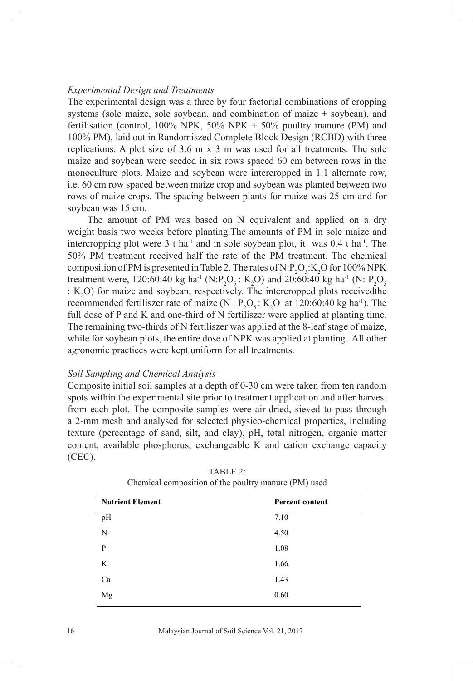#### *Experimental Design and Treatments*

The experimental design was a three by four factorial combinations of cropping systems (sole maize, sole soybean, and combination of maize  $+$  soybean), and fertilisation (control,  $100\%$  NPK,  $50\%$  NPK +  $50\%$  poultry manure (PM) and 100% PM), laid out in Randomiszed Complete Block Design (RCBD) with three replications. A plot size of 3.6 m x 3 m was used for all treatments. The sole maize and soybean were seeded in six rows spaced 60 cm between rows in the monoculture plots. Maize and soybean were intercropped in 1:1 alternate row, i.e. 60 cm row spaced between maize crop and soybean was planted between two rows of maize crops. The spacing between plants for maize was 25 cm and for soybean was 15 cm.

The amount of PM was based on N equivalent and applied on a dry weight basis two weeks before planting.The amounts of PM in sole maize and intercropping plot were 3 t ha<sup>-1</sup> and in sole soybean plot, it was  $0.4$  t ha<sup>-1</sup>. The 50% PM treatment received half the rate of the PM treatment. The chemical composition of PM is presented in Table 2. The rates of N.P<sub>2</sub>O<sub>5</sub>.K<sub>2</sub>O for 100% NPK treatment were, 120:60:40 kg ha<sup>-1</sup> (N:P<sub>2</sub>O<sub>5</sub>: K<sub>2</sub>O) and 20:60:40 kg ha<sup>-1</sup> (N: P<sub>2</sub>O<sub>5</sub>)  $: K<sub>2</sub>O$ ) for maize and soybean, respectively. The intercropped plots received the recommended fertiliszer rate of maize ( $N$  :  $P_2O_5$ :  $K_2O$  at 120:60:40 kg ha<sup>-1</sup>). The full dose of P and K and one-third of N fertiliszer were applied at planting time. The remaining two-thirds of N fertiliszer was applied at the 8-leaf stage of maize, while for soybean plots, the entire dose of NPK was applied at planting. All other agronomic practices were kept uniform for all treatments.

#### *Soil Sampling and Chemical Analysis*

Composite initial soil samples at a depth of 0-30 cm were taken from ten random spots within the experimental site prior to treatment application and after harvest from each plot. The composite samples were air-dried, sieved to pass through a 2-mm mesh and analysed for selected physico-chemical properties, including texture (percentage of sand, silt, and clay), pH, total nitrogen, organic matter content, available phosphorus, exchangeable K and cation exchange capacity (CEC).

| <b>Nutrient Element</b> | Percent content |
|-------------------------|-----------------|
| pH                      | 7.10            |
| N                       | 4.50            |
| P                       | 1.08            |
| K                       | 1.66            |
| Ca                      | 1.43            |
| Mg                      | 0.60            |

TABLE 2: Chemical composition of the poultry manure (PM) used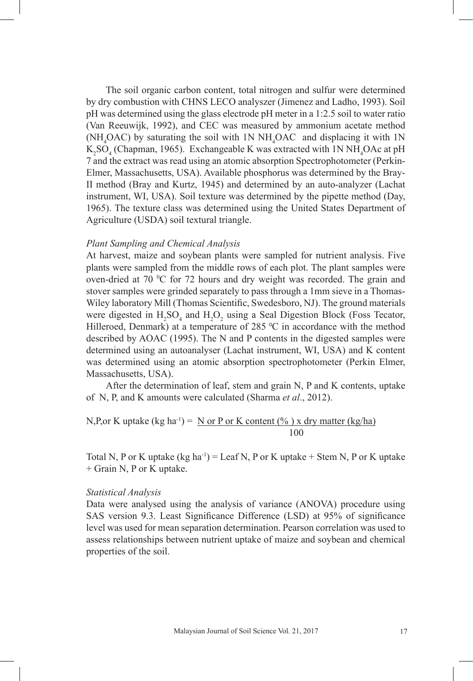The soil organic carbon content, total nitrogen and sulfur were determined by dry combustion with CHNS LECO analyszer (Jimenez and Ladho, 1993). Soil pH was determined using the glass electrode pH meter in a 1:2.5 soil to water ratio (Van Reeuwijk, 1992), and CEC was measured by ammonium acetate method  $(NH<sub>4</sub>OAC)$  by saturating the soil with 1N NH<sub>4</sub>OAC and displacing it with 1N  $K_2SO_4$  (Chapman, 1965). Exchangeable K was extracted with 1N NH<sub>4</sub>OAc at pH 7 and the extract was read using an atomic absorption Spectrophotometer (Perkin-Elmer, Massachusetts, USA). Available phosphorus was determined by the Bray-II method (Bray and Kurtz, 1945) and determined by an auto-analyzer (Lachat instrument, WI, USA). Soil texture was determined by the pipette method (Day, 1965). The texture class was determined using the United States Department of Agriculture (USDA) soil textural triangle.

### *Plant Sampling and Chemical Analysis*

At harvest, maize and soybean plants were sampled for nutrient analysis. Five plants were sampled from the middle rows of each plot. The plant samples were oven-dried at 70  $\degree$ C for 72 hours and dry weight was recorded. The grain and stover samples were grinded separately to pass through a 1mm sieve in a Thomas-Wiley laboratory Mill (Thomas Scientific, Swedesboro, NJ). The ground materials were digested in  $H_2SO_4$  and  $H_2O_2$  using a Seal Digestion Block (Foss Tecator, Hilleroed, Denmark) at a temperature of  $285 \degree C$  in accordance with the method described by AOAC (1995). The N and P contents in the digested samples were determined using an autoanalyser (Lachat instrument, WI, USA) and K content was determined using an atomic absorption spectrophotometer (Perkin Elmer, Massachusetts, USA).

After the determination of leaf, stem and grain N, P and K contents, uptake of N, P, and K amounts were calculated (Sharma *et al*., 2012).

N,P, or K uptake (kg ha<sup>-1</sup>) = 
$$
\underline{N}
$$
 or  $\underline{P}$  or K content (%) x dry matter (kg/ha)  
100

Total N, P or K uptake  $(kg ha^{-1}) = Leaf N$ , P or K uptake + Stem N, P or K uptake + Grain N, P or K uptake.

#### *Statistical Analysis*

Data were analysed using the analysis of variance (ANOVA) procedure using SAS version 9.3. Least Significance Difference (LSD) at 95% of significance level was used for mean separation determination. Pearson correlation was used to assess relationships between nutrient uptake of maize and soybean and chemical properties of the soil.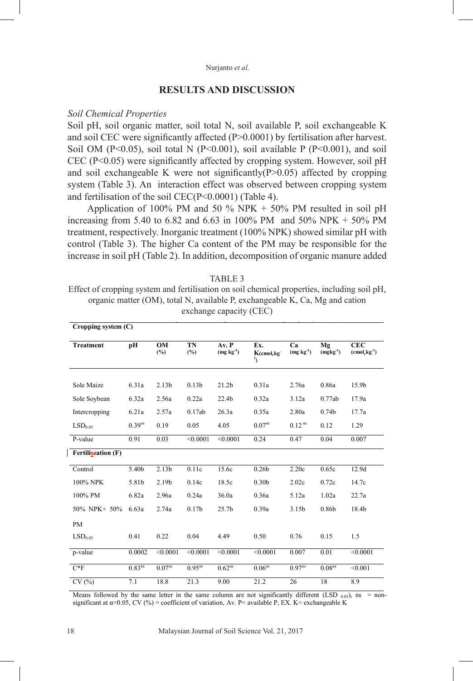#### Nurjanto *et al.*

# **RESULTS AND DISCUSSION**

#### *Soil Chemical Properties*

Soil pH, soil organic matter, soil total N, soil available P, soil exchangeable K and soil CEC were significantly affected (P>0.0001) by fertilisation after harvest. Soil OM (P<0.05), soil total N (P<0.001), soil available P (P<0.001), and soil CEC (P<0.05) were significantly affected by cropping system. However, soil pH and soil exchangeable K were not significantly( $P > 0.05$ ) affected by cropping system (Table 3). An interaction effect was observed between cropping system and fertilisation of the soil CEC(P<0.0001) (Table 4).

Application of 100% PM and 50 % NPK  $+$  50% PM resulted in soil pH increasing from 5.40 to 6.82 and 6.63 in 100% PM and 50% NPK + 50% PM treatment, respectively. Inorganic treatment (100% NPK) showed similar pH with control (Table 3). The higher Ca content of the PM may be responsible for the increase in soil pH (Table 2). In addition, decomposition of organic manure added

Effect of cropping system and fertilisation on soil chemical properties, including soil pH, exchange capacity (CEC) (OM), total N, available  $\mathcal{L}$  and calibration exchange capacity (CEC) (CEC)  $\mathcal{L}$ **FABLE 3** organic matter (OM), total N, available P, exchangeable K, Ca, Mg and cation

|                     | $Cropping$ system $(C)$ |                    |                   |                      |                                  |                      |                     |                             |  |  |
|---------------------|-------------------------|--------------------|-------------------|----------------------|----------------------------------|----------------------|---------------------|-----------------------------|--|--|
| <b>Treatment</b>    | pН                      | OM<br>(%)          | TN<br>(%)         | Av. P<br>$(mg kg-1)$ | Ex.<br>K(cmol.kg<br>$\mathbf{1}$ | Ca<br>$(mg kg-1)$    | Mg<br>$(mgkg^{-1})$ | <b>CEC</b><br>$(cmolckg-1)$ |  |  |
| Sole Maize          | 6.31a                   | 2.13 <sub>b</sub>  | 0.13 <sub>b</sub> | 21.2 <sub>b</sub>    | 0.31a                            | 2.76a                | 0.86a               | 15.9b                       |  |  |
| Sole Soybean        | 6.32a                   | 2.56a              | 0.22a             | 22.4b                | 0.32a                            | 3.12a                | 0.77ab              | 17.9a                       |  |  |
| Intercropping       | 6.21a                   | 2.57a              | 0.17ab            | 26.3a                | 0.35a                            | 2.80a                | 0.74 <sub>b</sub>   | 17.7a                       |  |  |
| LSD <sub>0.05</sub> | $0.39^{ns}$             | 0.19               | 0.05              | 4.05                 | 0.07 <sup>ns</sup>               | $0.12$ <sup>ns</sup> | 0.12                | 1.29                        |  |  |
| P-value             | 0.91                    | 0.03               | < 0.0001          | < 0.0001             | 0.24                             | 0.47                 | 0.04                | 0.007                       |  |  |
| Fertiliszation (F)  |                         |                    |                   |                      |                                  |                      |                     |                             |  |  |
| Control             | 5.40b                   | 2.13 <sub>b</sub>  | 0.11c             | 15.6c                | 0.26 <sub>b</sub>                | 2.20c                | 0.65c               | 12.9d                       |  |  |
| 100% NPK            | 5.81b                   | 2.19b              | 0.14c             | 18.5c                | 0.30 <sub>b</sub>                | 2.02c                | 0.72c               | 14.7c                       |  |  |
| 100% PM             | 6.82a                   | 2.96a              | 0.24a             | 36.0a                | 0.36a                            | 5.12a                | 1.02a               | 22.7a                       |  |  |
| 50% NPK+ 50%        | 6.63a                   | 2.74a              | 0.17 <sub>b</sub> | 25.7 <sub>b</sub>    | 0.39a                            | 3.15b                | 0.86b               | 18.4b                       |  |  |
| PM                  |                         |                    |                   |                      |                                  |                      |                     |                             |  |  |
| LSD <sub>0.05</sub> | 0.41                    | 0.22               | 0.04              | 4.49                 | 0.50                             | 0.76                 | 0.15                | 1.5                         |  |  |
| p-value             | 0.0002                  | < 0.0001           | < 0.0001          | < 0.0001             | < 0.0001                         | 0.007                | 0.01                | < 0.0001                    |  |  |
| $C*F$               | $0.83^{ns}$             | 0.07 <sup>ns</sup> | $0.95^{ns}$       | $0.62^{ns}$          | 0.06 <sup>ns</sup>               | $0.97^{ns}$          | 0.08 <sup>ns</sup>  | < 0.001                     |  |  |
| CV(%)               | 7.1                     | 18.8               | 21.3              | 9.00                 | 21.2                             | 26                   | 18                  | 8.9                         |  |  |

Means followed by the same letter in the same column are not significantly different (LSD  $_{0.05}$ ), ns = nonsignificant at  $\alpha$ =0.05, CV (%) = coefficient of variation, Av. P= available P, EX. K= exchangeable K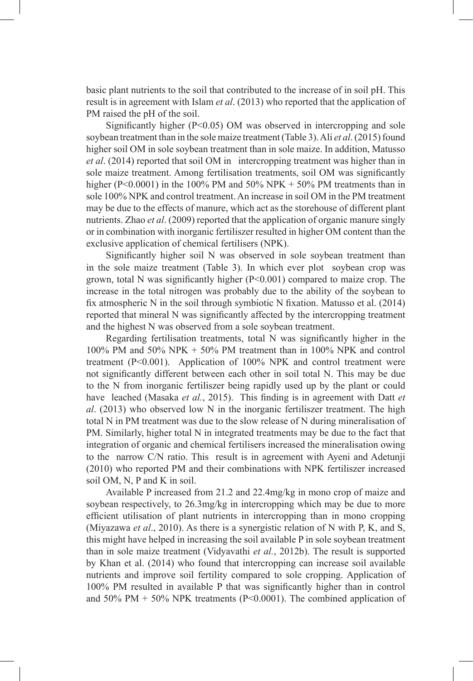basic plant nutrients to the soil that contributed to the increase of in soil pH. This result is in agreement with Islam *et al*. (2013) who reported that the application of PM raised the pH of the soil.

Significantly higher  $(P<0.05)$  OM was observed in intercropping and sole soybean treatment than in the sole maize treatment (Table 3). Ali *et al*. (2015) found higher soil OM in sole soybean treatment than in sole maize. In addition, Matusso *et al*. (2014) reported that soil OM in intercropping treatment was higher than in sole maize treatment. Among fertilisation treatments, soil OM was significantly higher (P<0.0001) in the 100% PM and 50% NPK + 50% PM treatments than in sole 100% NPK and control treatment. An increase in soil OM in the PM treatment may be due to the effects of manure, which act as the storehouse of different plant nutrients. Zhao *et al*. (2009) reported that the application of organic manure singly or in combination with inorganic fertiliszer resulted in higher OM content than the exclusive application of chemical fertilisers (NPK).

Significantly higher soil N was observed in sole soybean treatment than in the sole maize treatment (Table 3). In which ever plot soybean crop was grown, total N was significantly higher  $(P<0.001)$  compared to maize crop. The increase in the total nitrogen was probably due to the ability of the soybean to fix atmospheric N in the soil through symbiotic N fixation. Matusso et al. (2014) reported that mineral N was significantly affected by the intercropping treatment and the highest N was observed from a sole soybean treatment.

Regarding fertilisation treatments, total N was significantly higher in the 100% PM and 50% NPK + 50% PM treatment than in 100% NPK and control treatment (P<0.001). Application of 100% NPK and control treatment were not significantly different between each other in soil total N. This may be due to the N from inorganic fertiliszer being rapidly used up by the plant or could have leached (Masaka *et al.*, 2015). This finding is in agreement with Datt *et al*. (2013) who observed low N in the inorganic fertiliszer treatment. The high total N in PM treatment was due to the slow release of N during mineralisation of PM. Similarly, higher total N in integrated treatments may be due to the fact that integration of organic and chemical fertilisers increased the mineralisation owing to the narrow C/N ratio. This result is in agreement with Ayeni and Adetunji (2010) who reported PM and their combinations with NPK fertiliszer increased soil OM, N, P and K in soil.

Available P increased from 21.2 and 22.4mg/kg in mono crop of maize and soybean respectively, to 26.3mg/kg in intercropping which may be due to more efficient utilisation of plant nutrients in intercropping than in mono cropping (Miyazawa *et al*., 2010). As there is a synergistic relation of N with P, K, and S, this might have helped in increasing the soil available P in sole soybean treatment than in sole maize treatment (Vidyavathi *et al.*, 2012b). The result is supported by Khan et al. (2014) who found that intercropping can increase soil available nutrients and improve soil fertility compared to sole cropping. Application of 100% PM resulted in available P that was significantly higher than in control and 50% PM + 50% NPK treatments (P<0.0001). The combined application of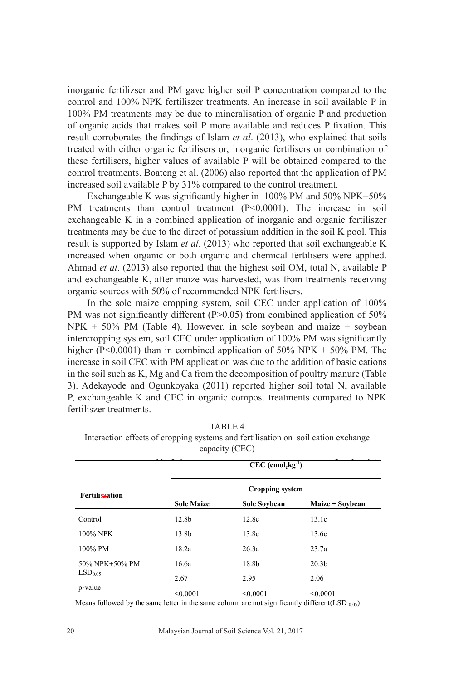inorganic fertilizser and PM gave higher soil P concentration compared to the control and 100% NPK fertiliszer treatments. An increase in soil available P in 100% PM treatments may be due to mineralisation of organic P and production of organic acids that makes soil P more available and reduces P fixation. This result corroborates the findings of Islam *et al*. (2013), who explained that soils treated with either organic fertilisers or, inorganic fertilisers or combination of these fertilisers, higher values of available P will be obtained compared to the control treatments. Boateng et al. (2006) also reported that the application of PM increased soil available P by 31% compared to the control treatment.

Exchangeable K was significantly higher in 100% PM and 50% NPK+50% PM treatments than control treatment (P<0.0001). The increase in soil exchangeable K in a combined application of inorganic and organic fertiliszer treatments may be due to the direct of potassium addition in the soil K pool. This result is supported by Islam *et al*. (2013) who reported that soil exchangeable K increased when organic or both organic and chemical fertilisers were applied. Ahmad *et al*. (2013) also reported that the highest soil OM, total N, available P and exchangeable K, after maize was harvested, was from treatments receiving organic sources with 50% of recommended NPK fertilisers.

In the sole maize cropping system, soil CEC under application of 100% PM was not significantly different  $(P>0.05)$  from combined application of 50%  $NPK + 50\%$  PM (Table 4). However, in sole soybean and maize + soybean intercropping system, soil CEC under application of 100% PM was significantly higher ( $P \le 0.0001$ ) than in combined application of 50% NPK + 50% PM. The increase in soil CEC with PM application was due to the addition of basic cations in the soil such as K, Mg and Ca from the decomposition of poultry manure (Table 3). Adekayode and Ogunkoyaka (2011) reported higher soil total N, available P, exchangeable K and CEC in organic compost treatments compared to NPK fertiliszer treatments.

|                     |                   | $CEC$ (cmol <sub>c</sub> kg <sup>-1</sup> ) |                   |  |  |  |
|---------------------|-------------------|---------------------------------------------|-------------------|--|--|--|
| Fertiliszation      | Cropping system   |                                             |                   |  |  |  |
|                     | <b>Sole Maize</b> | Sole Soybean                                | Maize + Soybean   |  |  |  |
| Control             | 12.8b             | 12.8c                                       | 13.1c             |  |  |  |
| 100% NPK            | 138h              | 13.8c                                       | 13.6c             |  |  |  |
| 100% PM             | 18.2a             | 26.3a                                       | 23.7a             |  |  |  |
| 50% NPK+50% PM      | 16.6a             | 18.8b                                       | 20.3 <sub>b</sub> |  |  |  |
| LSD <sub>0.05</sub> | 2.67              | 2.95                                        | 2.06              |  |  |  |
| p-value             | < 0.0001          | < 0.0001                                    | < 0.0001          |  |  |  |

TABLE 4

IABLE 4<br>Interaction effects of cropping systems and fertilisation on soil cation exchange capacity (CEC)

Means followed by the same letter in the same column are not significantly different(LSD  $_{0.05}$ )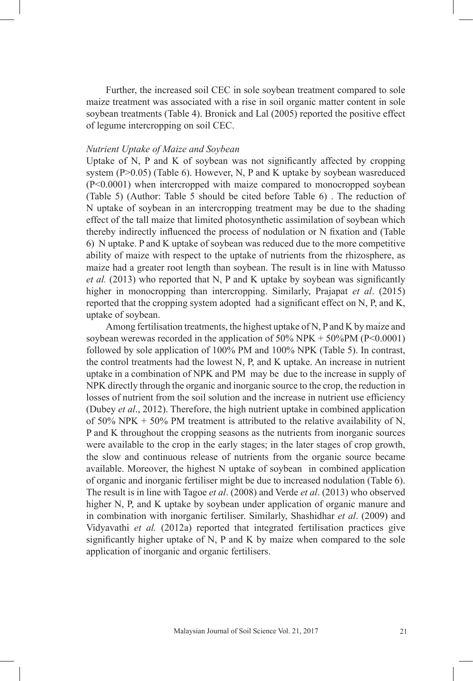Further, the increased soil CEC in sole soybean treatment compared to sole maize treatment was associated with a rise in soil organic matter content in sole soybean treatments (Table 4). Bronick and Lal (2005) reported the positive effect of legume intercropping on soil CEC.

# *Nutrient Uptake of Maize and Soybean*

Uptake of N, P and K of soybean was not significantly affected by cropping system (P>0.05) (Table 6). However, N, P and K uptake by soybean wasreduced (P<0.0001) when intercropped with maize compared to monocropped soybean (Table 5) (Author: Table 5 should be cited before Table 6) . The reduction of N uptake of soybean in an intercropping treatment may be due to the shading effect of the tall maize that limited photosynthetic assimilation of soybean which thereby indirectly influenced the process of nodulation or N fixation and (Table 6) N uptake. P and K uptake of soybean was reduced due to the more competitive ability of maize with respect to the uptake of nutrients from the rhizosphere, as maize had a greater root length than soybean. The result is in line with Matusso *et al.* (2013) who reported that N, P and K uptake by soybean was significantly higher in monocropping than intercropping. Similarly, Prajapat *et al*. (2015) reported that the cropping system adopted had a significant effect on N, P, and K, uptake of soybean.

Among fertilisation treatments, the highest uptake of N, P and K by maize and soybean werewas recorded in the application of  $50\%$  NPK +  $50\%$ PM (P<0.0001) followed by sole application of 100% PM and 100% NPK (Table 5). In contrast, the control treatments had the lowest N, P, and K uptake. An increase in nutrient uptake in a combination of NPK and PM may be due to the increase in supply of NPK directly through the organic and inorganic source to the crop, the reduction in losses of nutrient from the soil solution and the increase in nutrient use efficiency (Dubey *et al*., 2012). Therefore, the high nutrient uptake in combined application of 50% NPK  $+$  50% PM treatment is attributed to the relative availability of N, P and K throughout the cropping seasons as the nutrients from inorganic sources were available to the crop in the early stages; in the later stages of crop growth, the slow and continuous release of nutrients from the organic source became available. Moreover, the highest N uptake of soybean in combined application of organic and inorganic fertiliser might be due to increased nodulation (Table 6). The result is in line with Tagoe *et al*. (2008) and Verde *et al*. (2013) who observed higher N, P, and K uptake by soybean under application of organic manure and in combination with inorganic fertiliser. Similarly, Shashidhar *et al*. (2009) and Vidyavathi *et al.* (2012a) reported that integrated fertilisation practices give significantly higher uptake of N, P and K by maize when compared to the sole application of inorganic and organic fertilisers.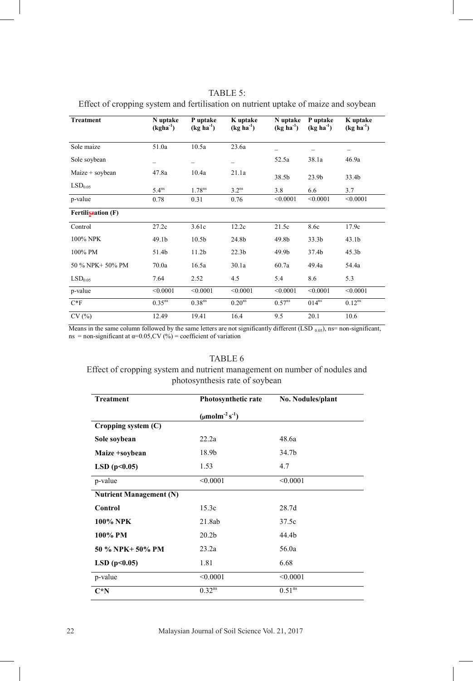| Treatment           | N uptake<br>$(kgha^{-1})$ | P uptake<br>$(kg ha-1)$ | K uptake<br>$(kg ha-1)$ | N uptake<br>$(kg ha-1)$ | P uptake<br>$(kg ha-1)$ | K uptake<br>$(kg ha-1)$ |
|---------------------|---------------------------|-------------------------|-------------------------|-------------------------|-------------------------|-------------------------|
| Sole maize          | 51.0a                     | 10.5a                   | 23.6a                   | -                       |                         | -                       |
| Sole soybean        | -                         | -                       | -                       | 52.5a                   | 38.1a                   | 46.9a                   |
| Maize + soybean     | 47.8a                     | 10.4a                   | 21.1a                   | 38.5b                   | 23.9 <sub>b</sub>       | 33.4b                   |
| LSD <sub>0.05</sub> | 5.4 <sup>ns</sup>         | 1.78 <sup>ns</sup>      | 3.2 <sup>ns</sup>       | 3.8                     | 6.6                     | 3.7                     |
| p-value             | 0.78                      | 0.31                    | 0.76                    | < 0.0001                | < 0.0001                | < 0.0001                |
| Fertiliszation (F)  |                           |                         |                         |                         |                         |                         |
| Control             | 27.2c                     | 3.61c                   | 12.2c                   | 21.5c                   | 8.6c                    | 17.9c                   |
| 100% NPK            | 49.1 <sub>b</sub>         | 10.5 <sub>b</sub>       | 24.8b                   | 49.8b                   | 33.3 <sub>b</sub>       | 43.1 <sub>b</sub>       |
| 100% PM             | 51.4b                     | 11.2 <sub>b</sub>       | 22.3 <sub>b</sub>       | 49.9b                   | 37.4b                   | 45.3 <sub>b</sub>       |
| 50 % NPK+ 50% PM    | 70.0a                     | 16.5a                   | 30.1a                   | 60.7a                   | 49.4a                   | 54.4a                   |
| LSD <sub>0.05</sub> | 7.64                      | 2.52                    | 4.5                     | 5.4                     | 8.6                     | 5.3                     |
| p-value             | < 0.0001                  | < 0.0001                | < 0.0001                | < 0.0001                | < 0.0001                | < 0.0001                |
| $C*F$               | 0.35 <sup>ns</sup>        | 0.38 <sup>ns</sup>      | 0.20 <sup>ns</sup>      | $0.57^{ns}$             | 014 <sup>ns</sup>       | $0.12^{ns}$             |
| CV(%)               | 12.49                     | 19.41                   | 16.4                    | 9.5                     | 20.1                    | 10.6                    |

TABLE 5: Effect of cropping system and fertilisation on nutrient uptake of maize and soybean Effect of cropping system and fertiliszation on nutrient uptake of maize and soybean Effect of cropping system and returnsation on mutrem uplane

Means in the same column followed by the same letters are not significantly different (LSD  $_{0.05}$ ), ns= non-significant, ns = non-significant at  $\alpha$ =0.05, CV (%) = coefficient of variation

#### TABLE 6

# Effect of cropping system and nutrient management on number of nodules and photosynthesis rate of soybean

| <b>Treatment</b>               | Photosynthetic rate      | No. Nodules/plant  |  |
|--------------------------------|--------------------------|--------------------|--|
|                                | $(\mu molm^{-2} s^{-1})$ |                    |  |
| Cropping system (C)            |                          |                    |  |
| Sole soybean                   | 22.2a                    | 48.6a              |  |
| Maize +soybean                 | 18.9b                    | 34.7b              |  |
| LSD(p<0.05)                    | 1.53                     | 4.7                |  |
| p-value                        | < 0.0001                 | < 0.0001           |  |
| <b>Nutrient Management (N)</b> |                          |                    |  |
| Control                        | 15.3c                    | 28.7d              |  |
| 100% NPK                       | 21.8ab                   | 37.5c              |  |
| 100% PM                        | 20.2 <sub>b</sub>        | 44.4b              |  |
| 50 % NPK+ 50% PM               | 23.2a                    | 56.0a              |  |
| LSD(p<0.05)                    | 1.81                     | 6.68               |  |
| p-value                        | < 0.0001                 | < 0.0001           |  |
| $C^*N$                         | $0.32^{ns}$              | 0.51 <sup>ns</sup> |  |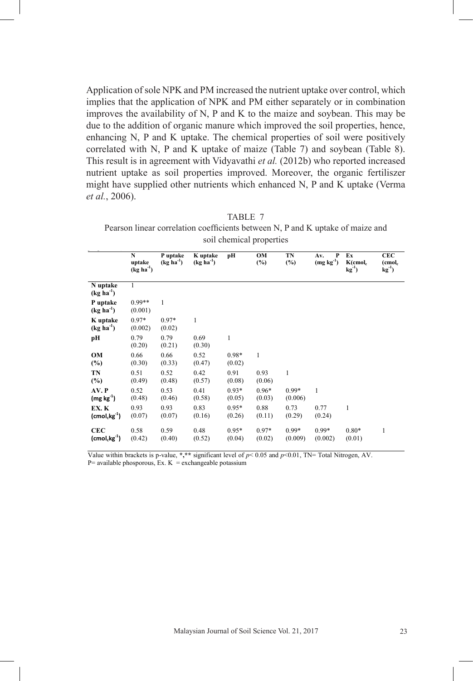Application of sole NPK and PM increased the nutrient uptake over control, which implies that the application of NPK and PM either separately or in combination improves the availability of N, P and K to the maize and soybean. This may be due to the addition of organic manure which improved the soil properties, hence, enhancing N, P and K uptake. The chemical properties of soil were positively correlated with N, P and K uptake of maize (Table 7) and soybean (Table 8). This result is in agreement with Vidyavathi *et al.* (2012b) who reported increased nutrient uptake as soil properties improved. Moreover, the organic fertiliszer might have supplied other nutrients which enhanced N, P and K uptake (Verma *et al.*, 2006).

TABLE 7 Pearson linear correlation coefficients between N, P and K uptake of maize and soil chemical properties

|                                                    | $\mathbf N$<br>uptake<br>$(kg ha-1)$ | P uptake<br>$(kg ha-1)$ | K uptake<br>$(kg ha-1)$ | pН                | OM<br>$(\%)$      | TN<br>$(\%)$       | $\mathbf{P}$<br>Av.<br>$(\rm{mg}\; \rm{kg}^{4})$ | Ex<br>$K$ (cmol $_c$<br>$kg^{-1}$ | <b>CEC</b><br>(cmol <sub>c</sub><br>$kg^{-1}$ |
|----------------------------------------------------|--------------------------------------|-------------------------|-------------------------|-------------------|-------------------|--------------------|--------------------------------------------------|-----------------------------------|-----------------------------------------------|
| N uptake<br>$(kg ha-1)$                            | 1                                    |                         |                         |                   |                   |                    |                                                  |                                   |                                               |
| P uptake<br>$(kg ha-1)$                            | $0.99**$<br>(0.001)                  | 1                       |                         |                   |                   |                    |                                                  |                                   |                                               |
| K uptake<br>$(kg ha-1)$                            | $0.97*$<br>(0.002)                   | $0.97*$<br>(0.02)       | 1                       |                   |                   |                    |                                                  |                                   |                                               |
| pН                                                 | 0.79<br>(0.20)                       | 0.79<br>(0.21)          | 0.69<br>(0.30)          | $\mathbf{1}$      |                   |                    |                                                  |                                   |                                               |
| OM<br>$(\%)$                                       | 0.66<br>(0.30)                       | 0.66<br>(0.33)          | 0.52<br>(0.47)          | $0.98*$<br>(0.02) | $\mathbf{1}$      |                    |                                                  |                                   |                                               |
| TN<br>$(\%)$                                       | 0.51<br>(0.49)                       | 0.52<br>(0.48)          | 0.42<br>(0.57)          | 0.91<br>(0.08)    | 0.93<br>(0.06)    | 1                  |                                                  |                                   |                                               |
| AV. P<br>$(mg kg-1)$                               | 0.52<br>(0.48)                       | 0.53<br>(0.46)          | 0.41<br>(0.58)          | $0.93*$<br>(0.05) | $0.96*$<br>(0.03) | $0.99*$<br>(0.006) | $\mathbf{1}$                                     |                                   |                                               |
| EX. K<br>$(\text{cmol}_c \text{kg}^{-1})$          | 0.93<br>(0.07)                       | 0.93<br>(0.07)          | 0.83<br>(0.16)          | $0.95*$<br>(0.26) | 0.88<br>(0.11)    | 0.73<br>(0.29)     | 0.77<br>(0.24)                                   | 1                                 |                                               |
| <b>CEC</b><br>$(\mathsf{cmol}_c \mathsf{kg}^{-1})$ | 0.58<br>(0.42)                       | 0.59<br>(0.40)          | 0.48<br>(0.52)          | $0.95*$<br>(0.04) | $0.97*$<br>(0.02) | $0.99*$<br>(0.009) | $0.99*$<br>(0.002)                               | $0.80*$<br>(0.01)                 | 1                                             |

Value within brackets is p-value, **\*,\*\*** significant level of *p*< 0.05 and *p*<0.01, TN= Total Nitrogen, AV.

 $P=$  available phosporous, Ex. K = exchangeable potassium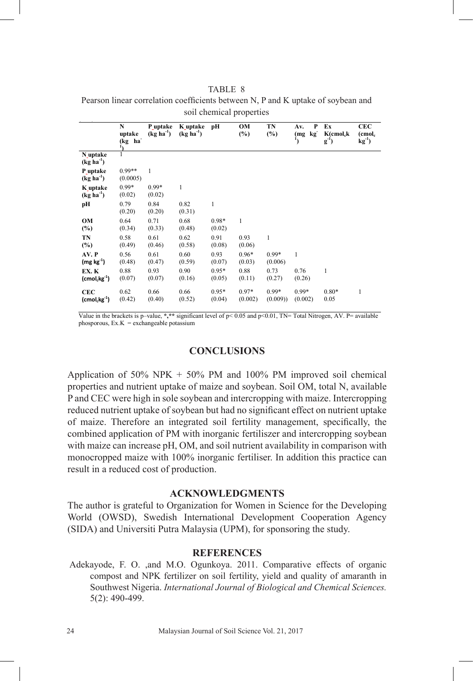TABLE 8 Pearson linear correlation coefficients between N, P and K uptake of soybean and soil chemical properties

|                                             | N<br>uptake<br>(kg ha | P uptake<br>$(kg ha-1)$ | K uptake<br>$(kg ha-1)$ | pН                | OM<br>$(\%)$       | TN<br>$(\%)$       | P<br>Av.<br>kg<br>(mg | Ex<br>$K$ (cmol <sub>c</sub> k<br>$g^{-1}$ | <b>CEC</b><br>(cmol <sub>c</sub><br>$kg^{-1}$ |
|---------------------------------------------|-----------------------|-------------------------|-------------------------|-------------------|--------------------|--------------------|-----------------------|--------------------------------------------|-----------------------------------------------|
| N uptake<br>$(kg ha-1)$                     | 1                     |                         |                         |                   |                    |                    |                       |                                            |                                               |
| P uptake<br>$(kg ha-1)$                     | $0.99**$<br>(0.0005)  | 1                       |                         |                   |                    |                    |                       |                                            |                                               |
| K uptake<br>$(kg ha-1)$                     | $0.99*$<br>(0.02)     | $0.99*$<br>(0.02)       | 1                       |                   |                    |                    |                       |                                            |                                               |
| pН                                          | 0.79<br>(0.20)        | 0.84<br>(0.20)          | 0.82<br>(0.31)          | $\mathbf{1}$      |                    |                    |                       |                                            |                                               |
| OМ<br>$(\%)$                                | 0.64<br>(0.34)        | 0.71<br>(0.33)          | 0.68<br>(0.48)          | 0.98*<br>(0.02)   | 1                  |                    |                       |                                            |                                               |
| TN<br>$(\%)$                                | 0.58<br>(0.49)        | 0.61<br>(0.46)          | 0.62<br>(0.58)          | 0.91<br>(0.08)    | 0.93<br>(0.06)     | 1                  |                       |                                            |                                               |
| AV. P<br>$(mg kg-1)$                        | 0.56<br>(0.48)        | 0.61<br>(0.47)          | 0.60<br>(0.59)          | 0.93<br>(0.07)    | $0.96*$<br>(0.03)  | $0.99*$<br>(0.006) | 1                     |                                            |                                               |
| EX. K<br>$(\text{cmol}_c$ $\text{kg}^{-1})$ | 0.88<br>(0.07)        | 0.93<br>(0.07)          | 0.90<br>(0.16)          | $0.95*$<br>(0.05) | 0.88<br>(0.11)     | 0.73<br>(0.27)     | 0.76<br>(0.26)        | 1                                          |                                               |
| <b>CEC</b><br>$(cmol_ckg^{-1})$             | 0.62<br>(0.42)        | 0.66<br>(0.40)          | 0.66<br>(0.52)          | $0.95*$<br>(0.04) | $0.97*$<br>(0.002) | $0.99*$<br>(0.009) | $0.99*$<br>(0.002)    | $0.80*$<br>0.05                            | 1                                             |

Value in the brackets is p–value,  $\star$ , $\star$ \* significant level of p< 0.05 and p<0.01. TN= Total Nitrogen, AV. P= available phosporous,  $Ex.K = exchangeable potassium$ 

# **CONCLUSIONS**

Application of  $50\%$  NPK +  $50\%$  PM and  $100\%$  PM improved soil chemical properties and nutrient uptake of maize and soybean. Soil OM, total N, available P and CEC were high in sole soybean and intercropping with maize. Intercropping reduced nutrient uptake of soybean but had no significant effect on nutrient uptake of maize. Therefore an integrated soil fertility management, specifically, the combined application of PM with inorganic fertiliszer and intercropping soybean with maize can increase pH, OM, and soil nutrient availability in comparison with monocropped maize with 100% inorganic fertiliser. In addition this practice can result in a reduced cost of production.

# **ACKNOWLEDGMENTS**

The author is grateful to Organization for Women in Science for the Developing World (OWSD), Swedish International Development Cooperation Agency (SIDA) and Universiti Putra Malaysia (UPM), for sponsoring the study.

# **REFERENCES**

Adekayode, F. O. ,and M.O. Ogunkoya. 2011. Comparative effects of organic compost and NPK fertilizer on soil fertility, yield and quality of amaranth in Southwest Nigeria. *International Journal of Biological and Chemical Sciences.* 5(2): 490-499.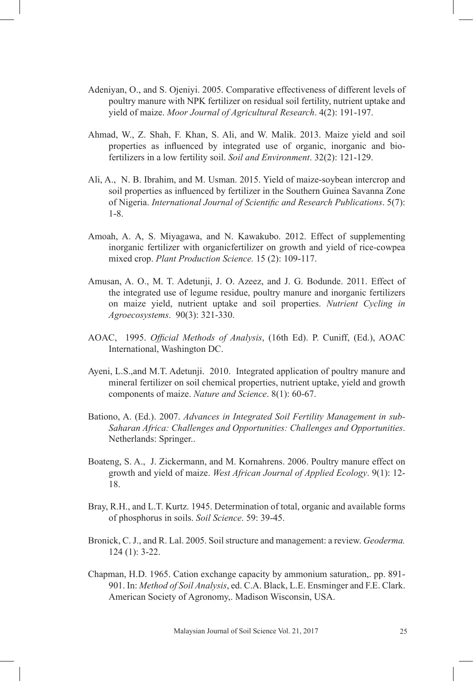- Adeniyan, O., and S. Ojeniyi. 2005. Comparative effectiveness of different levels of poultry manure with NPK fertilizer on residual soil fertility, nutrient uptake and yield of maize. *Moor Journal of Agricultural Research*. 4(2): 191-197.
- Ahmad, W., Z. Shah, F. Khan, S. Ali, and W. Malik. 2013. Maize yield and soil properties as influenced by integrated use of organic, inorganic and biofertilizers in a low fertility soil. *Soil and Environment*. 32(2): 121-129.
- Ali, A., N. B. Ibrahim, and M. Usman. 2015. Yield of maize-soybean intercrop and soil properties as influenced by fertilizer in the Southern Guinea Savanna Zone of Nigeria. *International Journal of Scientific and Research Publications*. 5(7): 1-8.
- Amoah, A. A, S. Miyagawa, and N. Kawakubo. 2012. Effect of supplementing inorganic fertilizer with organicfertilizer on growth and yield of rice-cowpea mixed crop. *Plant Production Science.* 15 (2): 109-117.
- Amusan, A. O., M. T. Adetunji, J. O. Azeez, and J. G. Bodunde. 2011. Effect of the integrated use of legume residue, poultry manure and inorganic fertilizers on maize yield, nutrient uptake and soil properties. *Nutrient Cycling in Agroecosystems*. 90(3): 321-330.
- AOAC, 1995. *Official Methods of Analysis*, (16th Ed). P. Cuniff, (Ed.), AOAC International, Washington DC.
- Ayeni, L.S.,and M.T. Adetunji. 2010. Integrated application of poultry manure and mineral fertilizer on soil chemical properties, nutrient uptake, yield and growth components of maize. *Nature and Science*. 8(1): 60-67.
- Bationo, A. (Ed.). 2007. *Advances in Integrated Soil Fertility Management in sub-Saharan Africa: Challenges and Opportunities: Challenges and Opportunities*. Netherlands: Springer..
- Boateng, S. A., J. Zickermann, and M. Kornahrens. 2006. Poultry manure effect on growth and yield of maize. *West African Journal of Applied Ecology*. 9(1): 12- 18.
- Bray, R.H., and L.T. Kurtz. 1945. Determination of total, organic and available forms of phosphorus in soils. *Soil Science*. 59: 39-45.
- Bronick, C. J., and R. Lal. 2005. Soil structure and management: a review. *Geoderma.*  124 (1): 3-22.
- Chapman, H.D. 1965. Cation exchange capacity by ammonium saturation,. pp. 891- 901. In: *Method of Soil Analysis*, ed. C.A. Black, L.E. Ensminger and F.E. Clark. American Society of Agronomy,. Madison Wisconsin, USA.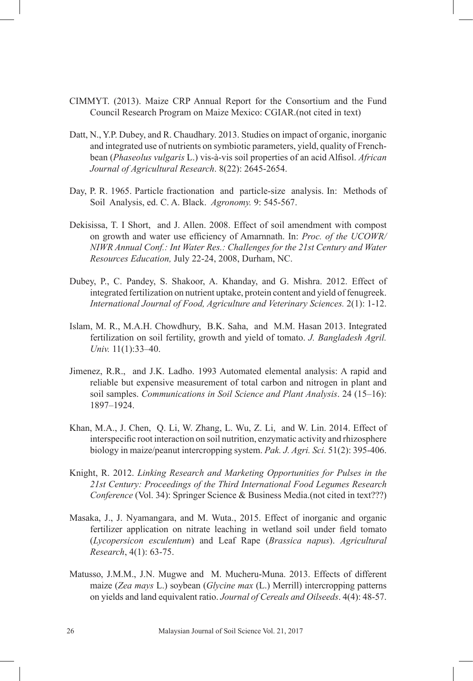- CIMMYT. (2013). Maize CRP Annual Report for the Consortium and the Fund Council Research Program on Maize Mexico: CGIAR.(not cited in text)
- Datt, N., Y.P. Dubey, and R. Chaudhary. 2013. Studies on impact of organic, inorganic and integrated use of nutrients on symbiotic parameters, yield, quality of Frenchbean (*Phaseolus vulgaris* L.) vis-à-vis soil properties of an acid Alfisol. *African Journal of Agricultural Research*. 8(22): 2645-2654.
- Day, P. R. 1965. Particle fractionation and particle-size analysis. In: Methods of Soil Analysis, ed. C. A. Black. *Agronomy.* 9: 545-567.
- Dekisissa, T. I Short, and J. Allen. 2008. Effect of soil amendment with compost on growth and water use efficiency of Amarnnath. In: *Proc. of the UCOWR/ NIWR Annual Conf.: Int Water Res.: Challenges for the 21st Century and Water Resources Education,* July 22-24, 2008, Durham, NC.
- Dubey, P., C. Pandey, S. Shakoor, A. Khanday, and G. Mishra. 2012. Effect of integrated fertilization on nutrient uptake, protein content and yield of fenugreek. *International Journal of Food, Agriculture and Veterinary Sciences.* 2(1): 1-12.
- Islam, M. R., M.A.H. Chowdhury, B.K. Saha, and M.M. Hasan 2013. Integrated fertilization on soil fertility, growth and yield of tomato. *J. Bangladesh Agril. Univ.* 11(1):33–40.
- Jimenez, R.R., and J.K. Ladho. 1993 Automated elemental analysis: A rapid and reliable but expensive measurement of total carbon and nitrogen in plant and soil samples. *Communications in Soil Science and Plant Analysis*. 24 (15–16): 1897–1924.
- Khan, M.A., J. Chen, Q. Li, W. Zhang, L. Wu, Z. Li, and W. Lin. 2014. Effect of interspecific root interaction on soil nutrition, enzymatic activity and rhizosphere biology in maize/peanut intercropping system. *Pak. J. Agri. Sci.* 51(2): 395-406.
- Knight, R. 2012. *Linking Research and Marketing Opportunities for Pulses in the 21st Century: Proceedings of the Third International Food Legumes Research Conference* (Vol. 34): Springer Science & Business Media.(not cited in text???)
- Masaka, J., J. Nyamangara, and M. Wuta., 2015. Effect of inorganic and organic fertilizer application on nitrate leaching in wetland soil under field tomato (*Lycopersicon esculentum*) and Leaf Rape (*Brassica napus*). *Agricultural Research*, 4(1): 63-75.
- Matusso, J.M.M., J.N. Mugwe and M. Mucheru-Muna. 2013. Effects of different maize (*Zea mays* L.) soybean (*Glycine max* (L.) Merrill) intercropping patterns on yields and land equivalent ratio. *Journal of Cereals and Oilseeds*. 4(4): 48-57.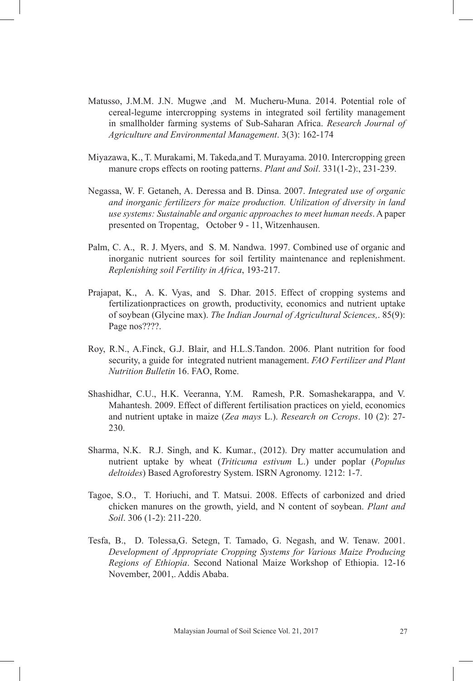- Matusso, J.M.M. J.N. Mugwe ,and M. Mucheru-Muna. 2014. Potential role of cereal-legume intercropping systems in integrated soil fertility management in smallholder farming systems of Sub-Saharan Africa. *Research Journal of Agriculture and Environmental Management*. 3(3): 162-174
- Miyazawa, K., T. Murakami, M. Takeda,and T. Murayama. 2010. Intercropping green manure crops effects on rooting patterns. *Plant and Soil*. 331(1-2):, 231-239.
- Negassa, W. F. Getaneh, A. Deressa and B. Dinsa. 2007. *Integrated use of organic and inorganic fertilizers for maize production. Utilization of diversity in land use systems: Sustainable and organic approaches to meet human needs*. A paper presented on Tropentag, October 9 - 11, Witzenhausen.
- Palm, C. A., R. J. Myers, and S. M. Nandwa. 1997. Combined use of organic and inorganic nutrient sources for soil fertility maintenance and replenishment. *Replenishing soil Fertility in Africa*, 193-217.
- Prajapat, K., A. K. Vyas, and S. Dhar. 2015. Effect of cropping systems and fertilizationpractices on growth, productivity, economics and nutrient uptake of soybean (Glycine max). *The Indian Journal of Agricultural Sciences,*. 85(9): Page nos????.
- Roy, R.N., A.Finck, G.J. Blair, and H.L.S.Tandon. 2006. Plant nutrition for food security, a guide for integrated nutrient management. *FAO Fertilizer and Plant Nutrition Bulletin* 16. FAO, Rome.
- Shashidhar, C.U., H.K. Veeranna, Y.M. Ramesh, P.R. Somashekarappa, and V. Mahantesh. 2009. Effect of different fertilisation practices on yield, economics and nutrient uptake in maize (*Zea mays* L.). *Research on Ccrops*. 10 (2): 27- 230.
- Sharma, N.K. R.J. Singh, and K. Kumar., (2012). Dry matter accumulation and nutrient uptake by wheat (*Triticuma estivum* L.) under poplar (*Populus deltoides*) Based Agroforestry System. ISRN Agronomy. 1212: 1-7.
- Tagoe, S.O., T. Horiuchi, and T. Matsui. 2008. Effects of carbonized and dried chicken manures on the growth, yield, and N content of soybean. *Plant and Soil*. 306 (1-2): 211-220.
- Tesfa, B., D. Tolessa,G. Setegn, T. Tamado, G. Negash, and W. Tenaw. 2001. *Development of Appropriate Cropping Systems for Various Maize Producing Regions of Ethiopia*. Second National Maize Workshop of Ethiopia. 12-16 November, 2001,. Addis Ababa.